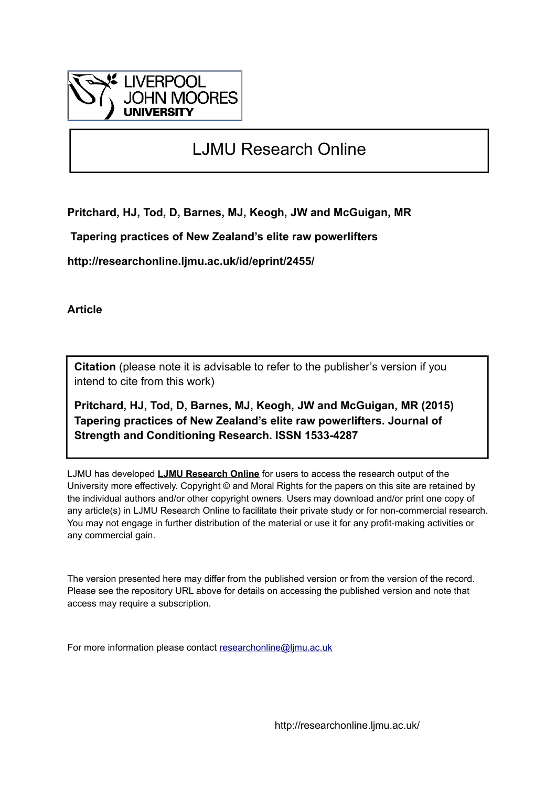

# LJMU Research Online

**Pritchard, HJ, Tod, D, Barnes, MJ, Keogh, JW and McGuigan, MR**

 **Tapering practices of New Zealand's elite raw powerlifters**

**http://researchonline.ljmu.ac.uk/id/eprint/2455/**

**Article**

**Citation** (please note it is advisable to refer to the publisher's version if you intend to cite from this work)

**Pritchard, HJ, Tod, D, Barnes, MJ, Keogh, JW and McGuigan, MR (2015) Tapering practices of New Zealand's elite raw powerlifters. Journal of Strength and Conditioning Research. ISSN 1533-4287** 

LJMU has developed **[LJMU Research Online](http://researchonline.ljmu.ac.uk/)** for users to access the research output of the University more effectively. Copyright © and Moral Rights for the papers on this site are retained by the individual authors and/or other copyright owners. Users may download and/or print one copy of any article(s) in LJMU Research Online to facilitate their private study or for non-commercial research. You may not engage in further distribution of the material or use it for any profit-making activities or any commercial gain.

The version presented here may differ from the published version or from the version of the record. Please see the repository URL above for details on accessing the published version and note that access may require a subscription.

For more information please contact [researchonline@ljmu.ac.uk](mailto:researchonline@ljmu.ac.uk)

http://researchonline.ljmu.ac.uk/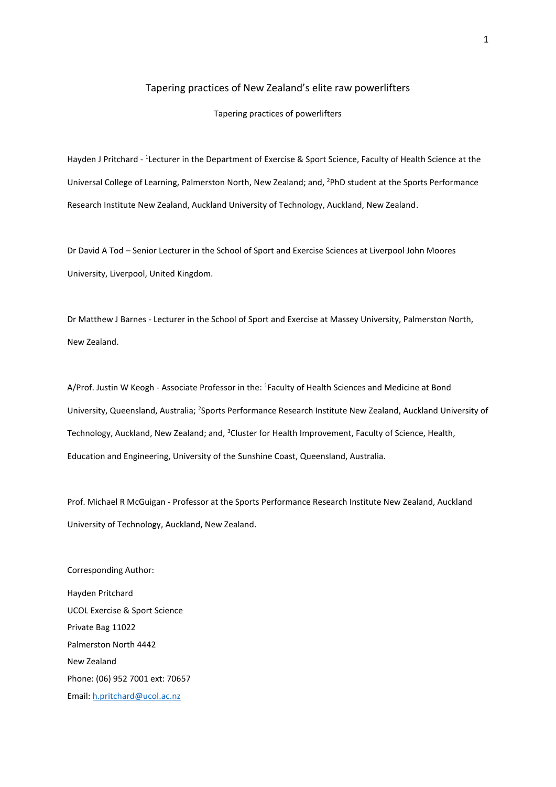# Tapering practices of New Zealand's elite raw powerlifters

Tapering practices of powerlifters

Hayden J Pritchard - <sup>1</sup>Lecturer in the Department of Exercise & Sport Science, Faculty of Health Science at the Universal College of Learning, Palmerston North, New Zealand; and, <sup>2</sup>PhD student at the Sports Performance Research Institute New Zealand, Auckland University of Technology, Auckland, New Zealand.

Dr David A Tod – Senior Lecturer in the School of Sport and Exercise Sciences at Liverpool John Moores University, Liverpool, United Kingdom.

Dr Matthew J Barnes - Lecturer in the School of Sport and Exercise at Massey University, Palmerston North, New Zealand.

A/Prof. Justin W Keogh - Associate Professor in the: <sup>1</sup>Faculty of Health Sciences and Medicine at Bond University, Queensland, Australia; <sup>2</sup>Sports Performance Research Institute New Zealand, Auckland University of Technology, Auckland, New Zealand; and, <sup>3</sup>Cluster for Health Improvement, Faculty of Science, Health, Education and Engineering, University of the Sunshine Coast, Queensland, Australia.

Prof. Michael R McGuigan - Professor at the Sports Performance Research Institute New Zealand, Auckland University of Technology, Auckland, New Zealand.

Corresponding Author: Hayden Pritchard UCOL Exercise & Sport Science Private Bag 11022 Palmerston North 4442 New Zealand Phone: (06) 952 7001 ext: 70657 Email: [h.pritchard@ucol.ac.nz](mailto:h.pritchard@ucol.ac.nz)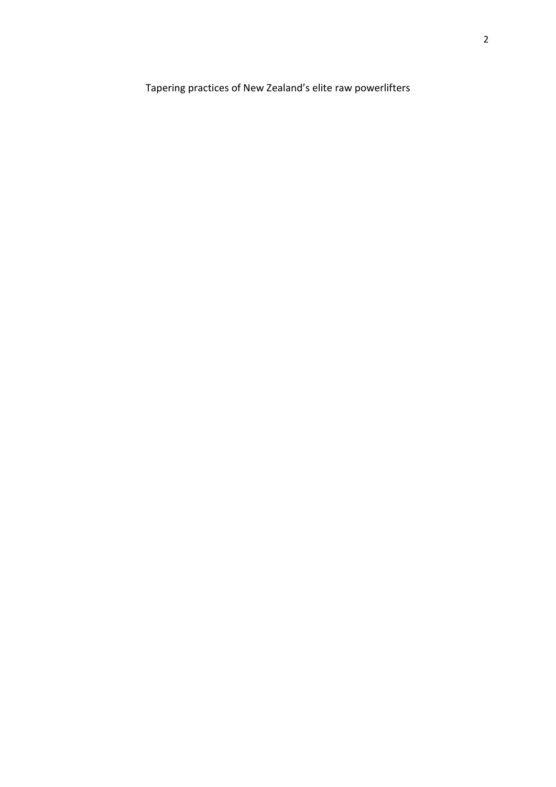Tapering practices of New Zealand's elite raw powerlifters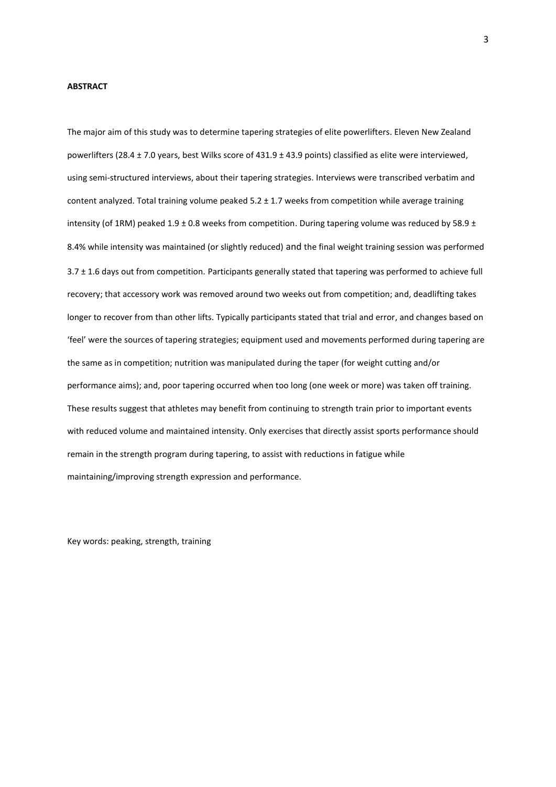## **ABSTRACT**

The major aim of this study was to determine tapering strategies of elite powerlifters. Eleven New Zealand powerlifters (28.4  $\pm$  7.0 years, best Wilks score of 431.9  $\pm$  43.9 points) classified as elite were interviewed, using semi-structured interviews, about their tapering strategies. Interviews were transcribed verbatim and content analyzed. Total training volume peaked  $5.2 \pm 1.7$  weeks from competition while average training intensity (of 1RM) peaked 1.9  $\pm$  0.8 weeks from competition. During tapering volume was reduced by 58.9  $\pm$ 8.4% while intensity was maintained (or slightly reduced) and the final weight training session was performed 3.7 ± 1.6 days out from competition. Participants generally stated that tapering was performed to achieve full recovery; that accessory work was removed around two weeks out from competition; and, deadlifting takes longer to recover from than other lifts. Typically participants stated that trial and error, and changes based on 'feel' were the sources of tapering strategies; equipment used and movements performed during tapering are the same as in competition; nutrition was manipulated during the taper (for weight cutting and/or performance aims); and, poor tapering occurred when too long (one week or more) was taken off training. These results suggest that athletes may benefit from continuing to strength train prior to important events with reduced volume and maintained intensity. Only exercises that directly assist sports performance should remain in the strength program during tapering, to assist with reductions in fatigue while maintaining/improving strength expression and performance.

Key words: peaking, strength, training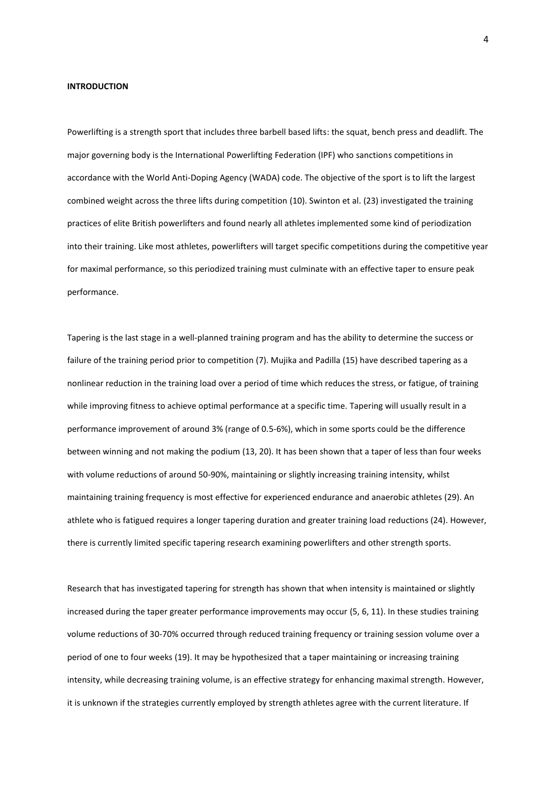## **INTRODUCTION**

Powerlifting is a strength sport that includes three barbell based lifts: the squat, bench press and deadlift. The major governing body is the International Powerlifting Federation (IPF) who sanctions competitions in accordance with the World Anti-Doping Agency (WADA) code. The objective of the sport is to lift the largest combined weight across the three lifts during competition [\(10\)](#page-20-0). Swinton et al. [\(23\)](#page-21-0) investigated the training practices of elite British powerlifters and found nearly all athletes implemented some kind of periodization into their training. Like most athletes, powerlifters will target specific competitions during the competitive year for maximal performance, so this periodized training must culminate with an effective taper to ensure peak performance.

Tapering is the last stage in a well-planned training program and has the ability to determine the success or failure of the training period prior to competition [\(7\)](#page-20-1). Mujika and Padilla [\(15\)](#page-21-1) have described tapering as a nonlinear reduction in the training load over a period of time which reduces the stress, or fatigue, of training while improving fitness to achieve optimal performance at a specific time. Tapering will usually result in a performance improvement of around 3% (range of 0.5-6%), which in some sports could be the difference between winning and not making the podium [\(13,](#page-21-2) [20\)](#page-21-3). It has been shown that a taper of less than four weeks with volume reductions of around 50-90%, maintaining or slightly increasing training intensity, whilst maintaining training frequency is most effective for experienced endurance and anaerobic athletes [\(29\)](#page-22-0). An athlete who is fatigued requires a longer tapering duration and greater training load reductions [\(24\)](#page-21-4). However, there is currently limited specific tapering research examining powerlifters and other strength sports.

Research that has investigated tapering for strength has shown that when intensity is maintained or slightly increased during the taper greater performance improvements may occur [\(5,](#page-20-2) [6,](#page-20-3) [11\)](#page-20-4). In these studies training volume reductions of 30-70% occurred through reduced training frequency or training session volume over a period of one to four weeks [\(19\)](#page-21-5). It may be hypothesized that a taper maintaining or increasing training intensity, while decreasing training volume, is an effective strategy for enhancing maximal strength. However, it is unknown if the strategies currently employed by strength athletes agree with the current literature. If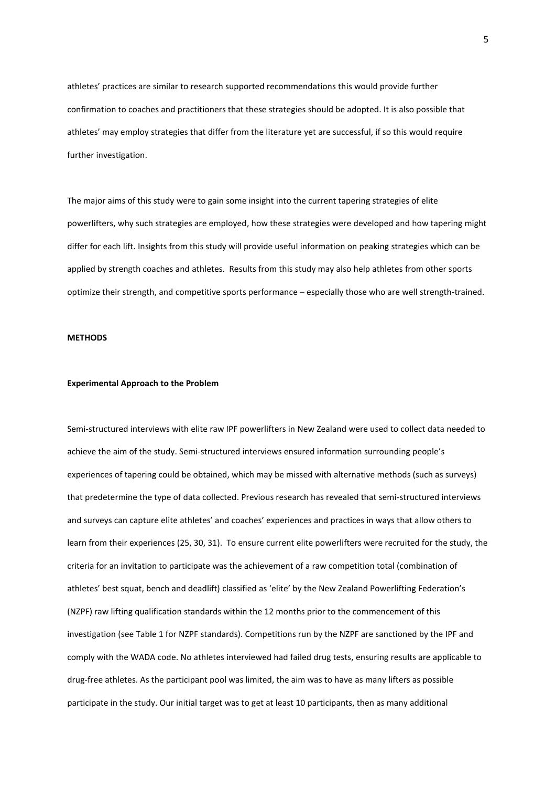athletes' practices are similar to research supported recommendations this would provide further confirmation to coaches and practitioners that these strategies should be adopted. It is also possible that athletes' may employ strategies that differ from the literature yet are successful, if so this would require further investigation.

The major aims of this study were to gain some insight into the current tapering strategies of elite powerlifters, why such strategies are employed, how these strategies were developed and how tapering might differ for each lift. Insights from this study will provide useful information on peaking strategies which can be applied by strength coaches and athletes. Results from this study may also help athletes from other sports optimize their strength, and competitive sports performance – especially those who are well strength-trained.

#### **METHODS**

## **Experimental Approach to the Problem**

Semi-structured interviews with elite raw IPF powerlifters in New Zealand were used to collect data needed to achieve the aim of the study. Semi-structured interviews ensured information surrounding people's experiences of tapering could be obtained, which may be missed with alternative methods (such as surveys) that predetermine the type of data collected. Previous research has revealed that semi-structured interviews and surveys can capture elite athletes' and coaches' experiences and practices in ways that allow others to learn from their experiences [\(25,](#page-21-6) [30,](#page-22-1) [31\)](#page-22-2). To ensure current elite powerlifters were recruited for the study, the criteria for an invitation to participate was the achievement of a raw competition total (combination of athletes' best squat, bench and deadlift) classified as 'elite' by the New Zealand Powerlifting Federation's (NZPF) raw lifting qualification standards within the 12 months prior to the commencement of this investigation (see Table 1 for NZPF standards). Competitions run by the NZPF are sanctioned by the IPF and comply with the WADA code. No athletes interviewed had failed drug tests, ensuring results are applicable to drug-free athletes. As the participant pool was limited, the aim was to have as many lifters as possible participate in the study. Our initial target was to get at least 10 participants, then as many additional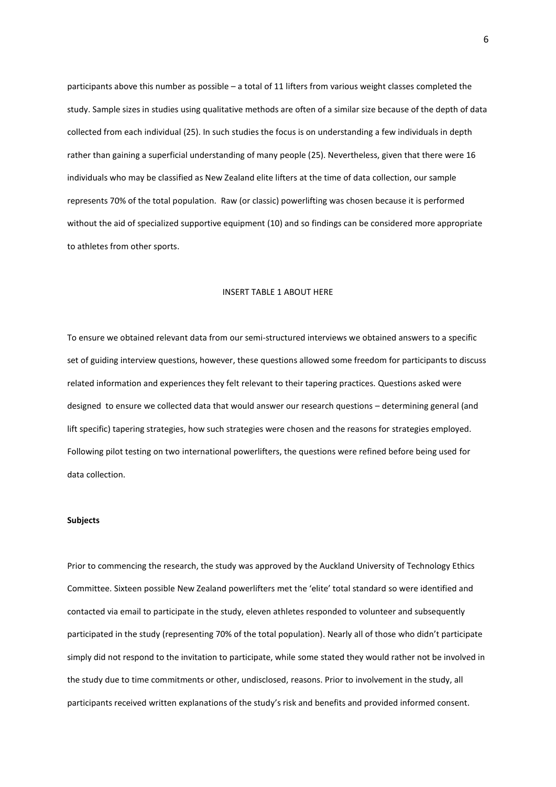participants above this number as possible – a total of 11 lifters from various weight classes completed the study. Sample sizes in studies using qualitative methods are often of a similar size because of the depth of data collected from each individual [\(25\)](#page-21-6). In such studies the focus is on understanding a few individuals in depth rather than gaining a superficial understanding of many people (25). Nevertheless, given that there were 16 individuals who may be classified as New Zealand elite lifters at the time of data collection, our sample represents 70% of the total population. Raw (or classic) powerlifting was chosen because it is performed without the aid of specialized supportive equipment [\(10\)](#page-20-0) and so findings can be considered more appropriate to athletes from other sports.

## INSERT TABLE 1 ABOUT HERE

To ensure we obtained relevant data from our semi-structured interviews we obtained answers to a specific set of guiding interview questions, however, these questions allowed some freedom for participants to discuss related information and experiences they felt relevant to their tapering practices. Questions asked were designed to ensure we collected data that would answer our research questions – determining general (and lift specific) tapering strategies, how such strategies were chosen and the reasons for strategies employed. Following pilot testing on two international powerlifters, the questions were refined before being used for data collection.

# **Subjects**

Prior to commencing the research, the study was approved by the Auckland University of Technology Ethics Committee. Sixteen possible New Zealand powerlifters met the 'elite' total standard so were identified and contacted via email to participate in the study, eleven athletes responded to volunteer and subsequently participated in the study (representing 70% of the total population). Nearly all of those who didn't participate simply did not respond to the invitation to participate, while some stated they would rather not be involved in the study due to time commitments or other, undisclosed, reasons. Prior to involvement in the study, all participants received written explanations of the study's risk and benefits and provided informed consent.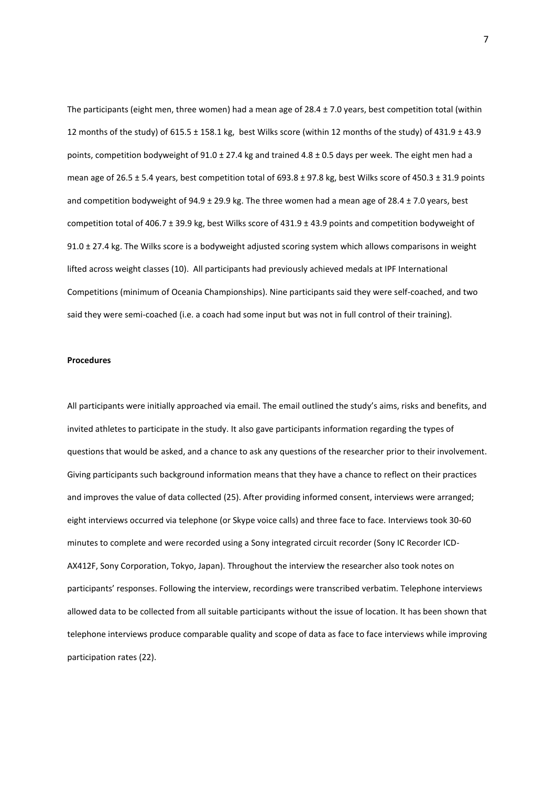The participants (eight men, three women) had a mean age of  $28.4 \pm 7.0$  years, best competition total (within 12 months of the study) of  $615.5 \pm 158.1$  kg, best Wilks score (within 12 months of the study) of  $431.9 \pm 43.9$ points, competition bodyweight of  $91.0 \pm 27.4$  kg and trained 4.8  $\pm$  0.5 days per week. The eight men had a mean age of 26.5 ± 5.4 years, best competition total of 693.8 ± 97.8 kg, best Wilks score of 450.3 ± 31.9 points and competition bodyweight of 94.9 ± 29.9 kg. The three women had a mean age of 28.4 ± 7.0 years, best competition total of 406.7 ± 39.9 kg, best Wilks score of 431.9 ± 43.9 points and competition bodyweight of 91.0 ± 27.4 kg. The Wilks score is a bodyweight adjusted scoring system which allows comparisons in weight lifted across weight classes [\(10\)](#page-20-0). All participants had previously achieved medals at IPF International Competitions (minimum of Oceania Championships). Nine participants said they were self-coached, and two said they were semi-coached (i.e. a coach had some input but was not in full control of their training).

## **Procedures**

All participants were initially approached via email. The email outlined the study's aims, risks and benefits, and invited athletes to participate in the study. It also gave participants information regarding the types of questions that would be asked, and a chance to ask any questions of the researcher prior to their involvement. Giving participants such background information means that they have a chance to reflect on their practices and improves the value of data collected (25). After providing informed consent, interviews were arranged; eight interviews occurred via telephone (or Skype voice calls) and three face to face. Interviews took 30-60 minutes to complete and were recorded using a Sony integrated circuit recorder (Sony IC Recorder ICD-AX412F, Sony Corporation, Tokyo, Japan). Throughout the interview the researcher also took notes on participants' responses. Following the interview, recordings were transcribed verbatim. Telephone interviews allowed data to be collected from all suitable participants without the issue of location. It has been shown that telephone interviews produce comparable quality and scope of data as face to face interviews while improving participation rates [\(22\)](#page-21-7).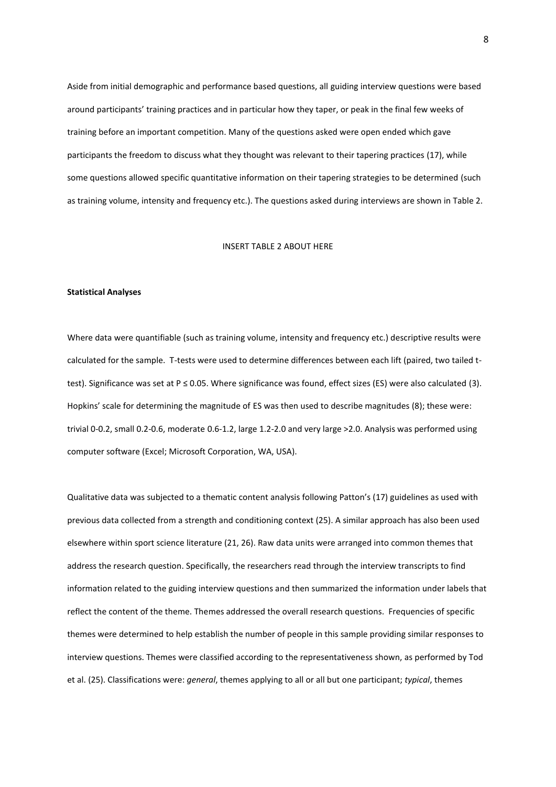Aside from initial demographic and performance based questions, all guiding interview questions were based around participants' training practices and in particular how they taper, or peak in the final few weeks of training before an important competition. Many of the questions asked were open ended which gave participants the freedom to discuss what they thought was relevant to their tapering practices [\(17\)](#page-21-8), while some questions allowed specific quantitative information on their tapering strategies to be determined (such as training volume, intensity and frequency etc.). The questions asked during interviews are shown in Table 2.

#### INSERT TABLE 2 ABOUT HERE

## **Statistical Analyses**

Where data were quantifiable (such as training volume, intensity and frequency etc.) descriptive results were calculated for the sample. T-tests were used to determine differences between each lift (paired, two tailed t-test). Significance was set at P ≤ 0.05. Where significance was found, effect sizes (ES) were also calculated [\(3\)](#page-20-5). Hopkins' scale for determining the magnitude of ES was then used to describe magnitudes [\(8\)](#page-20-6); these were: trivial 0-0.2, small 0.2-0.6, moderate 0.6-1.2, large 1.2-2.0 and very large >2.0. Analysis was performed using computer software (Excel; Microsoft Corporation, WA, USA).

Qualitative data was subjected to a thematic content analysis following Patton's [\(17\)](#page-21-8) guidelines as used with previous data collected from a strength and conditioning context [\(25\)](#page-21-6). A similar approach has also been used elsewhere within sport science literature [\(21,](#page-21-9) [26\)](#page-22-3). Raw data units were arranged into common themes that address the research question. Specifically, the researchers read through the interview transcripts to find information related to the guiding interview questions and then summarized the information under labels that reflect the content of the theme. Themes addressed the overall research questions. Frequencies of specific themes were determined to help establish the number of people in this sample providing similar responses to interview questions. Themes were classified according to the representativeness shown, as performed by Tod et al. [\(25\)](#page-21-6). Classifications were: *general*, themes applying to all or all but one participant; *typical*, themes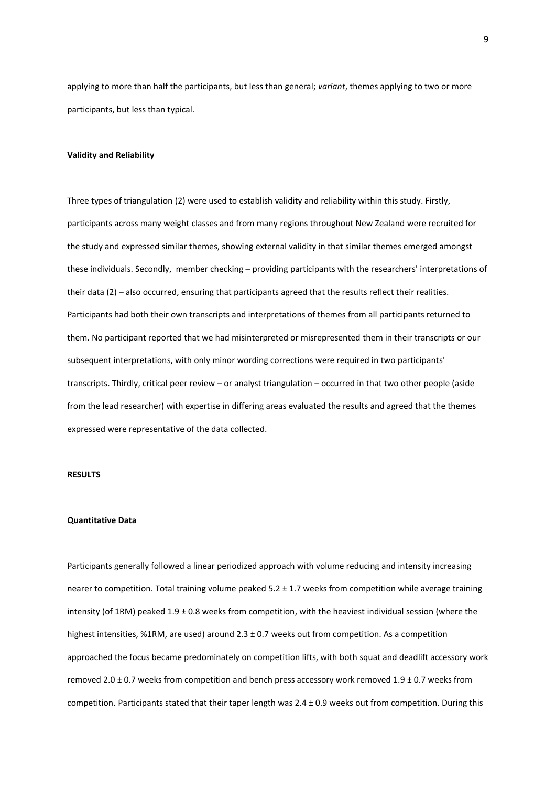applying to more than half the participants, but less than general; *variant*, themes applying to two or more participants, but less than typical.

#### **Validity and Reliability**

Three types of triangulation [\(2\)](#page-20-7) were used to establish validity and reliability within this study. Firstly, participants across many weight classes and from many regions throughout New Zealand were recruited for the study and expressed similar themes, showing external validity in that similar themes emerged amongst these individuals. Secondly, member checking – providing participants with the researchers' interpretations of their data [\(2\)](#page-20-7) – also occurred, ensuring that participants agreed that the results reflect their realities. Participants had both their own transcripts and interpretations of themes from all participants returned to them. No participant reported that we had misinterpreted or misrepresented them in their transcripts or our subsequent interpretations, with only minor wording corrections were required in two participants' transcripts. Thirdly, critical peer review – or analyst triangulation – occurred in that two other people (aside from the lead researcher) with expertise in differing areas evaluated the results and agreed that the themes expressed were representative of the data collected.

## **RESULTS**

## **Quantitative Data**

Participants generally followed a linear periodized approach with volume reducing and intensity increasing nearer to competition. Total training volume peaked  $5.2 \pm 1.7$  weeks from competition while average training intensity (of 1RM) peaked 1.9  $\pm$  0.8 weeks from competition, with the heaviest individual session (where the highest intensities, %1RM, are used) around  $2.3 \pm 0.7$  weeks out from competition. As a competition approached the focus became predominately on competition lifts, with both squat and deadlift accessory work removed 2.0  $\pm$  0.7 weeks from competition and bench press accessory work removed 1.9  $\pm$  0.7 weeks from competition. Participants stated that their taper length was  $2.4 \pm 0.9$  weeks out from competition. During this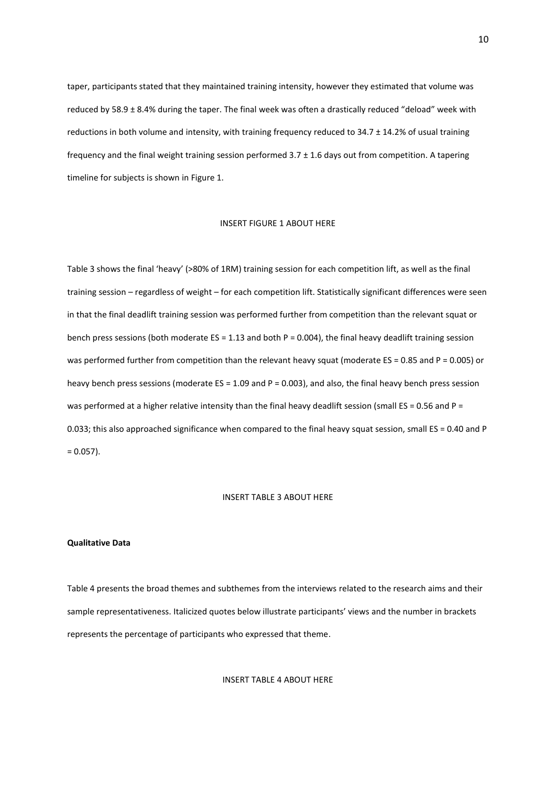taper, participants stated that they maintained training intensity, however they estimated that volume was reduced by 58.9 ± 8.4% during the taper. The final week was often a drastically reduced "deload" week with reductions in both volume and intensity, with training frequency reduced to 34.7 ± 14.2% of usual training frequency and the final weight training session performed 3.7 ± 1.6 days out from competition. A tapering timeline for subjects is shown in Figure 1.

## INSERT FIGURE 1 ABOUT HERE

Table 3 shows the final 'heavy' (>80% of 1RM) training session for each competition lift, as well as the final training session – regardless of weight – for each competition lift. Statistically significant differences were seen in that the final deadlift training session was performed further from competition than the relevant squat or bench press sessions (both moderate ES = 1.13 and both  $P = 0.004$ ), the final heavy deadlift training session was performed further from competition than the relevant heavy squat (moderate ES = 0.85 and P = 0.005) or heavy bench press sessions (moderate ES = 1.09 and P = 0.003), and also, the final heavy bench press session was performed at a higher relative intensity than the final heavy deadlift session (small ES = 0.56 and P = 0.033; this also approached significance when compared to the final heavy squat session, small ES = 0.40 and P  $= 0.057$ ).

## INSERT TABLE 3 ABOUT HERE

#### **Qualitative Data**

Table 4 presents the broad themes and subthemes from the interviews related to the research aims and their sample representativeness. Italicized quotes below illustrate participants' views and the number in brackets represents the percentage of participants who expressed that theme.

INSERT TABLE 4 ABOUT HERE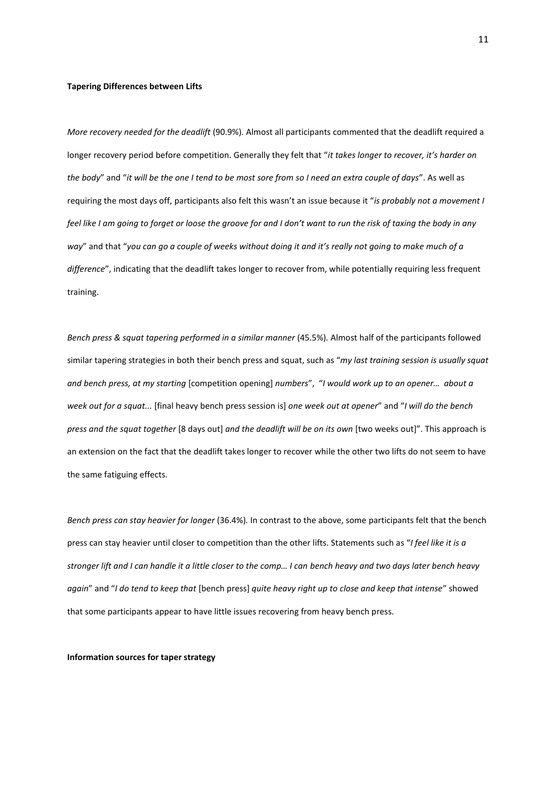## **Tapering Differences between Lifts**

*More recovery needed for the deadlift* (90.9%)*.* Almost all participants commented that the deadlift required a longer recovery period before competition. Generally they felt that "*it takes longer to recover, it's harder on the body*" and "*it will be the one I tend to be most sore from so I need an extra couple of days*". As well as requiring the most days off, participants also felt this wasn't an issue because it "*is probably not a movement I feel like I am going to forget or loose the groove for and I don't want to run the risk of taxing the body in any way*" and that "*you can go a couple of weeks without doing it and it's really not going to make much of a difference*", indicating that the deadlift takes longer to recover from, while potentially requiring less frequent training.

*Bench press & squat tapering performed in a similar manner* (45.5%)*.* Almost half of the participants followed similar tapering strategies in both their bench press and squat, such as "*my last training session is usually squat and bench press, at my starting* [competition opening] *numbers*", "*I would work up to an opener… about a week out for a squat...* [final heavy bench press session is] *one week out at opener*" and "*I will do the bench press and the squat together* [8 days out] *and the deadlift will be on its own* [two weeks out]". This approach is an extension on the fact that the deadlift takes longer to recover while the other two lifts do not seem to have the same fatiguing effects.

*Bench press can stay heavier for longer* (36.4%)*.* In contrast to the above, some participants felt that the bench press can stay heavier until closer to competition than the other lifts. Statements such as "*I feel like it is a stronger lift and I can handle it a little closer to the comp… I can bench heavy and two days later bench heavy again*" and "*I do tend to keep that* [bench press] *quite heavy right up to close and keep that intense*" showed that some participants appear to have little issues recovering from heavy bench press.

#### **Information sources for taper strategy**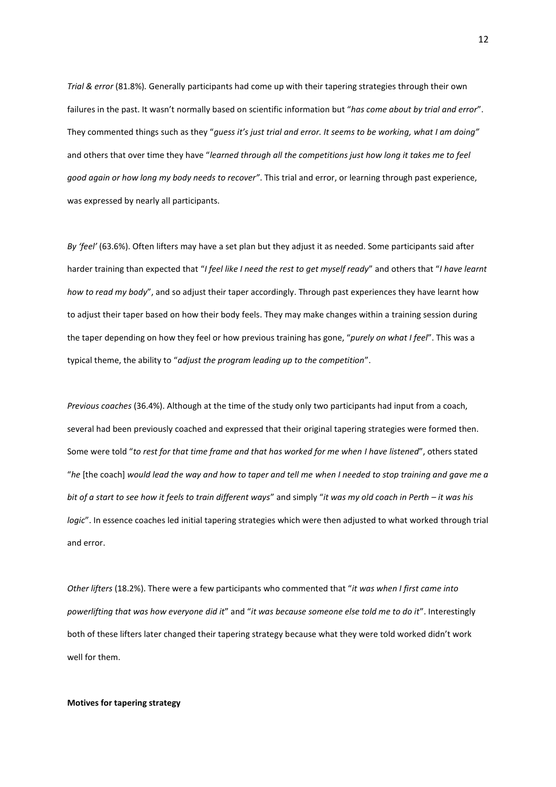*Trial & error* (81.8%)*.* Generally participants had come up with their tapering strategies through their own failures in the past. It wasn't normally based on scientific information but "*has come about by trial and error*". They commented things such as they "*guess it's just trial and error. It seems to be working, what I am doing"* and others that over time they have "*learned through all the competitions just how long it takes me to feel good again or how long my body needs to recover"*. This trial and error, or learning through past experience, was expressed by nearly all participants.

*By 'feel'* (63.6%). Often lifters may have a set plan but they adjust it as needed. Some participants said after harder training than expected that "*I feel like I need the rest to get myself ready*" and others that "*I have learnt how to read my body*", and so adjust their taper accordingly. Through past experiences they have learnt how to adjust their taper based on how their body feels. They may make changes within a training session during the taper depending on how they feel or how previous training has gone, "*purely on what I feel*". This was a typical theme, the ability to "*adjust the program leading up to the competition*".

*Previous coaches* (36.4%). Although at the time of the study only two participants had input from a coach, several had been previously coached and expressed that their original tapering strategies were formed then. Some were told "*to rest for that time frame and that has worked for me when I have listened*", others stated "*he* [the coach] *would lead the way and how to taper and tell me when I needed to stop training and gave me a bit of a start to see how it feels to train different ways*" and simply "*it was my old coach in Perth – it was his logic*". In essence coaches led initial tapering strategies which were then adjusted to what worked through trial and error.

*Other lifters* (18.2%). There were a few participants who commented that "*it was when I first came into powerlifting that was how everyone did it*" and "*it was because someone else told me to do it*". Interestingly both of these lifters later changed their tapering strategy because what they were told worked didn't work well for them.

## **Motives for tapering strategy**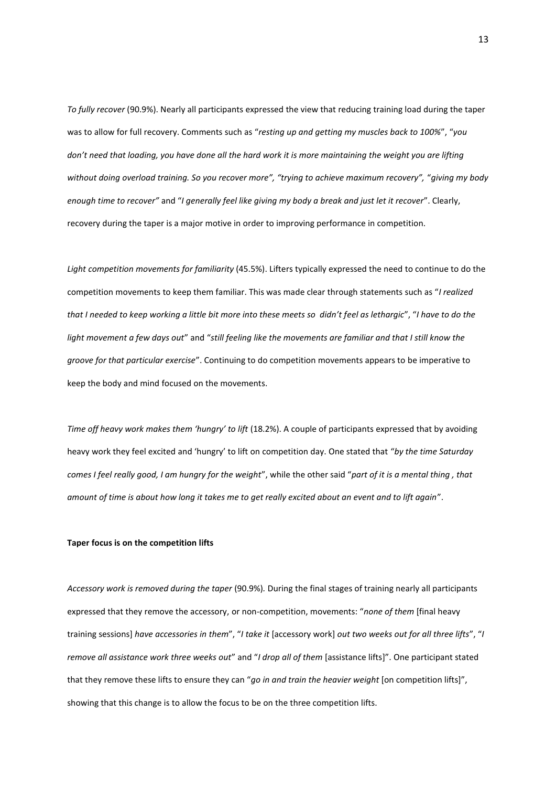*To fully recover* (90.9%). Nearly all participants expressed the view that reducing training load during the taper was to allow for full recovery. Comments such as "*resting up and getting my muscles back to 100%*", "*you don't need that loading, you have done all the hard work it is more maintaining the weight you are lifting*  without doing overload training. So you recover more", "trying to achieve maximum recovery", "giving my body *enough time to recover"* and "*I generally feel like giving my body a break and just let it recover*". Clearly, recovery during the taper is a major motive in order to improving performance in competition.

*Light competition movements for familiarity* (45.5%). Lifters typically expressed the need to continue to do the competition movements to keep them familiar. This was made clear through statements such as "*I realized that I needed to keep working a little bit more into these meets so didn't feel as lethargic*", "*I have to do the light movement a few days out*" and "*still feeling like the movements are familiar and that I still know the groove for that particular exercise*". Continuing to do competition movements appears to be imperative to keep the body and mind focused on the movements.

*Time off heavy work makes them 'hungry' to lift* (18.2%). A couple of participants expressed that by avoiding heavy work they feel excited and 'hungry' to lift on competition day. One stated that "*by the time Saturday comes I feel really good, I am hungry for the weight*", while the other said "*part of it is a mental thing , that amount of time is about how long it takes me to get really excited about an event and to lift again*".

## **Taper focus is on the competition lifts**

*Accessory work is removed during the taper* (90.9%)*.* During the final stages of training nearly all participants expressed that they remove the accessory, or non-competition, movements: "*none of them* [final heavy training sessions] *have accessories in them*", "*I take it* [accessory work] *out two weeks out for all three lifts*", "*I remove all assistance work three weeks out*" and "*I drop all of them* [assistance lifts]". One participant stated that they remove these lifts to ensure they can "*go in and train the heavier weight* [on competition lifts]", showing that this change is to allow the focus to be on the three competition lifts.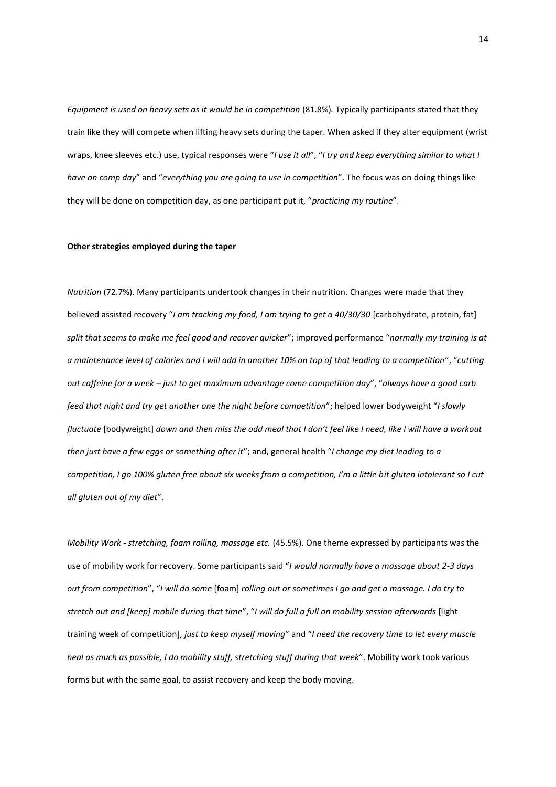*Equipment is used on heavy sets as it would be in competition* (81.8%)*.* Typically participants stated that they train like they will compete when lifting heavy sets during the taper. When asked if they alter equipment (wrist wraps, knee sleeves etc.) use, typical responses were "*I use it all*", "*I try and keep everything similar to what I have on comp day*" and "*everything you are going to use in competition*". The focus was on doing things like they will be done on competition day, as one participant put it, "*practicing my routine*".

#### **Other strategies employed during the taper**

*Nutrition* (72.7%)*.* Many participants undertook changes in their nutrition. Changes were made that they believed assisted recovery "*I am tracking my food, I am trying to get a 40/30/30* [carbohydrate, protein, fat] *split that seems to make me feel good and recover quicker*"; improved performance "*normally my training is at a maintenance level of calories and I will add in another 10% on top of that leading to a competition*", "*cutting out caffeine for a week – just to get maximum advantage come competition day*", "*always have a good carb feed that night and try get another one the night before competition*"; helped lower bodyweight "*I slowly fluctuate* [bodyweight] *down and then miss the odd meal that I don't feel like I need, like I will have a workout then just have a few eggs or something after it*"; and, general health "*I change my diet leading to a competition, I go 100% gluten free about six weeks from a competition, I'm a little bit gluten intolerant so I cut all gluten out of my diet*".

*Mobility Work - stretching, foam rolling, massage etc.* (45.5%). One theme expressed by participants was the use of mobility work for recovery. Some participants said "*I would normally have a massage about 2-3 days out from competition*", "*I will do some* [foam] *rolling out or sometimes I go and get a massage. I do try to stretch out and [keep] mobile during that time*", "*I will do full a full on mobility session afterwards* [light training week of competition], *just to keep myself moving*" and "*I need the recovery time to let every muscle heal as much as possible, I do mobility stuff, stretching stuff during that week*". Mobility work took various forms but with the same goal, to assist recovery and keep the body moving.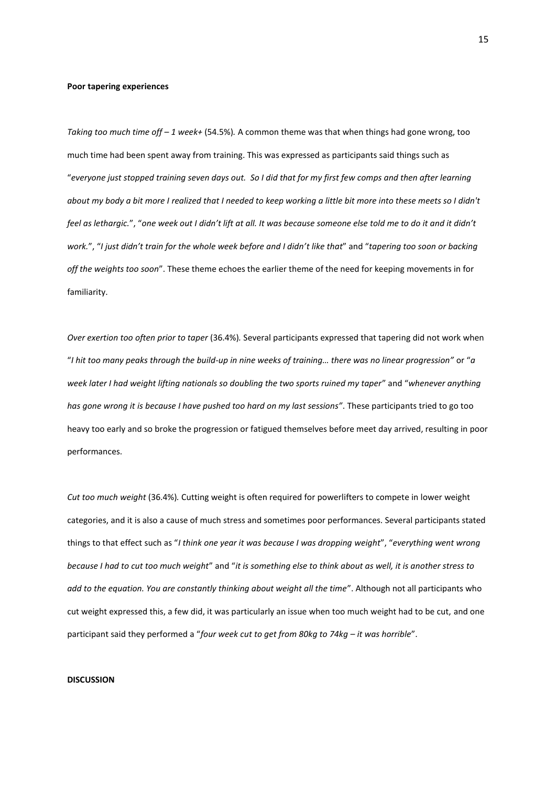#### **Poor tapering experiences**

*Taking too much time off – 1 week+* (54.5%)*.* A common theme was that when things had gone wrong, too much time had been spent away from training. This was expressed as participants said things such as "*everyone just stopped training seven days out. So I did that for my first few comps and then after learning about my body a bit more I realized that I needed to keep working a little bit more into these meets so I didn't feel as lethargic.*", "*one week out I didn't lift at all. It was because someone else told me to do it and it didn't work.*", "*I just didn't train for the whole week before and I didn't like that*" and "*tapering too soon or backing off the weights too soon*". These theme echoes the earlier theme of the need for keeping movements in for familiarity.

*Over exertion too often prior to taper* (36.4%)*.* Several participants expressed that tapering did not work when "*I hit too many peaks through the build-up in nine weeks of training… there was no linear progression"* or "*a week later I had weight lifting nationals so doubling the two sports ruined my taper*" and "*whenever anything has gone wrong it is because I have pushed too hard on my last sessions"*. These participants tried to go too heavy too early and so broke the progression or fatigued themselves before meet day arrived, resulting in poor performances.

*Cut too much weight* (36.4%)*.* Cutting weight is often required for powerlifters to compete in lower weight categories, and it is also a cause of much stress and sometimes poor performances. Several participants stated things to that effect such as "*I think one year it was because I was dropping weight*", "*everything went wrong because I had to cut too much weight*" and "*it is something else to think about as well, it is another stress to add to the equation. You are constantly thinking about weight all the time*". Although not all participants who cut weight expressed this, a few did, it was particularly an issue when too much weight had to be cut, and one participant said they performed a "*four week cut to get from 80kg to 74kg – it was horrible*".

## **DISCUSSION**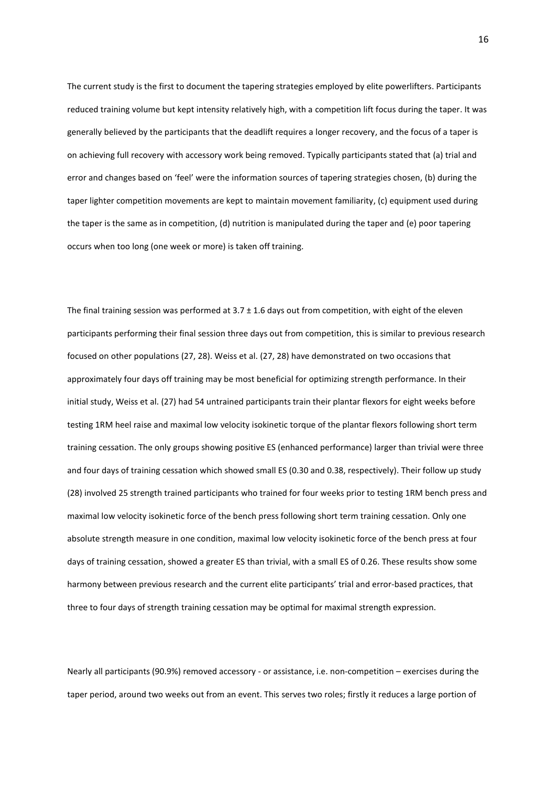The current study is the first to document the tapering strategies employed by elite powerlifters. Participants reduced training volume but kept intensity relatively high, with a competition lift focus during the taper. It was generally believed by the participants that the deadlift requires a longer recovery, and the focus of a taper is on achieving full recovery with accessory work being removed. Typically participants stated that (a) trial and error and changes based on 'feel' were the information sources of tapering strategies chosen, (b) during the taper lighter competition movements are kept to maintain movement familiarity, (c) equipment used during the taper is the same as in competition, (d) nutrition is manipulated during the taper and (e) poor tapering occurs when too long (one week or more) is taken off training.

The final training session was performed at  $3.7 \pm 1.6$  days out from competition, with eight of the eleven participants performing their final session three days out from competition, this is similar to previous research focused on other populations [\(27,](#page-22-4) [28\)](#page-22-5). Weiss et al. [\(27,](#page-22-4) [28\)](#page-22-5) have demonstrated on two occasions that approximately four days off training may be most beneficial for optimizing strength performance. In their initial study, Weiss et al. [\(27\)](#page-22-4) had 54 untrained participants train their plantar flexors for eight weeks before testing 1RM heel raise and maximal low velocity isokinetic torque of the plantar flexors following short term training cessation. The only groups showing positive ES (enhanced performance) larger than trivial were three and four days of training cessation which showed small ES (0.30 and 0.38, respectively). Their follow up study [\(28\)](#page-22-5) involved 25 strength trained participants who trained for four weeks prior to testing 1RM bench press and maximal low velocity isokinetic force of the bench press following short term training cessation. Only one absolute strength measure in one condition, maximal low velocity isokinetic force of the bench press at four days of training cessation, showed a greater ES than trivial, with a small ES of 0.26. These results show some harmony between previous research and the current elite participants' trial and error-based practices, that three to four days of strength training cessation may be optimal for maximal strength expression.

Nearly all participants (90.9%) removed accessory - or assistance, i.e. non-competition – exercises during the taper period, around two weeks out from an event. This serves two roles; firstly it reduces a large portion of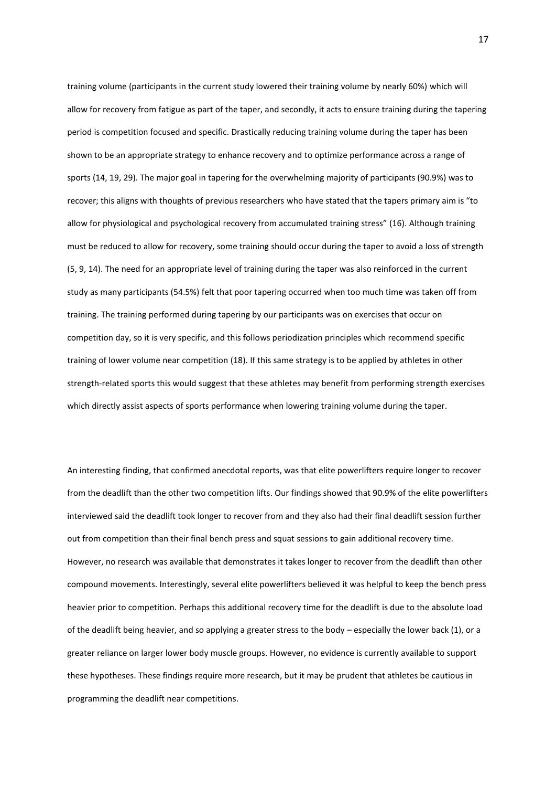training volume (participants in the current study lowered their training volume by nearly 60%) which will allow for recovery from fatigue as part of the taper, and secondly, it acts to ensure training during the tapering period is competition focused and specific. Drastically reducing training volume during the taper has been shown to be an appropriate strategy to enhance recovery and to optimize performance across a range of sports [\(14,](#page-21-10) [19,](#page-21-5) [29\)](#page-22-0). The major goal in tapering for the overwhelming majority of participants (90.9%) was to recover; this aligns with thoughts of previous researchers who have stated that the tapers primary aim is "to allow for physiological and psychological recovery from accumulated training stress" [\(16\)](#page-21-11). Although training must be reduced to allow for recovery, some training should occur during the taper to avoid a loss of strength [\(5,](#page-20-2) [9,](#page-20-8) [14\)](#page-21-10). The need for an appropriate level of training during the taper was also reinforced in the current study as many participants (54.5%) felt that poor tapering occurred when too much time was taken off from training. The training performed during tapering by our participants was on exercises that occur on competition day, so it is very specific, and this follows periodization principles which recommend specific training of lower volume near competition [\(18\)](#page-21-12). If this same strategy is to be applied by athletes in other strength-related sports this would suggest that these athletes may benefit from performing strength exercises which directly assist aspects of sports performance when lowering training volume during the taper.

An interesting finding, that confirmed anecdotal reports, was that elite powerlifters require longer to recover from the deadlift than the other two competition lifts. Our findings showed that 90.9% of the elite powerlifters interviewed said the deadlift took longer to recover from and they also had their final deadlift session further out from competition than their final bench press and squat sessions to gain additional recovery time. However, no research was available that demonstrates it takes longer to recover from the deadlift than other compound movements. Interestingly, several elite powerlifters believed it was helpful to keep the bench press heavier prior to competition. Perhaps this additional recovery time for the deadlift is due to the absolute load of the deadlift being heavier, and so applying a greater stress to the body – especially the lower back [\(1\)](#page-20-9), or a greater reliance on larger lower body muscle groups. However, no evidence is currently available to support these hypotheses. These findings require more research, but it may be prudent that athletes be cautious in programming the deadlift near competitions.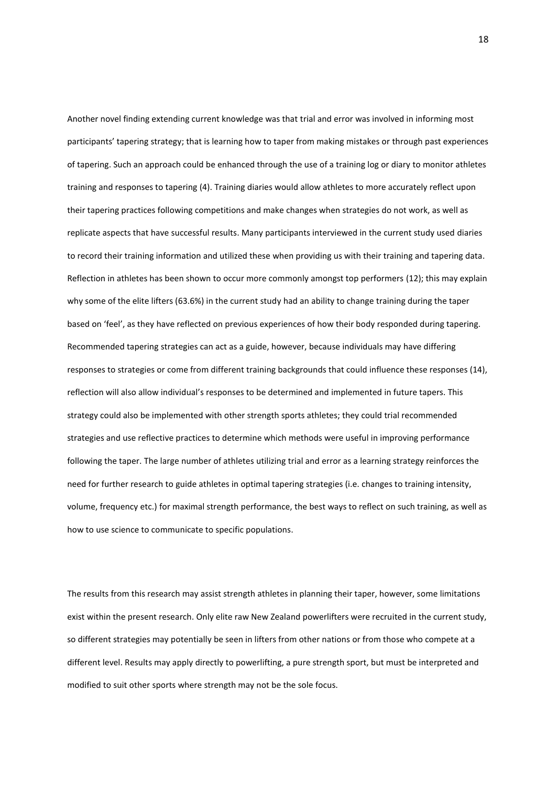Another novel finding extending current knowledge was that trial and error was involved in informing most participants' tapering strategy; that is learning how to taper from making mistakes or through past experiences of tapering. Such an approach could be enhanced through the use of a training log or diary to monitor athletes training and responses to tapering [\(4\)](#page-20-10). Training diaries would allow athletes to more accurately reflect upon their tapering practices following competitions and make changes when strategies do not work, as well as replicate aspects that have successful results. Many participants interviewed in the current study used diaries to record their training information and utilized these when providing us with their training and tapering data. Reflection in athletes has been shown to occur more commonly amongst top performers [\(12\)](#page-20-11); this may explain why some of the elite lifters (63.6%) in the current study had an ability to change training during the taper based on 'feel', as they have reflected on previous experiences of how their body responded during tapering. Recommended tapering strategies can act as a guide, however, because individuals may have differing responses to strategies or come from different training backgrounds that could influence these responses [\(14\)](#page-21-10), reflection will also allow individual's responses to be determined and implemented in future tapers. This strategy could also be implemented with other strength sports athletes; they could trial recommended strategies and use reflective practices to determine which methods were useful in improving performance following the taper. The large number of athletes utilizing trial and error as a learning strategy reinforces the need for further research to guide athletes in optimal tapering strategies (i.e. changes to training intensity, volume, frequency etc.) for maximal strength performance, the best ways to reflect on such training, as well as how to use science to communicate to specific populations.

The results from this research may assist strength athletes in planning their taper, however, some limitations exist within the present research. Only elite raw New Zealand powerlifters were recruited in the current study, so different strategies may potentially be seen in lifters from other nations or from those who compete at a different level. Results may apply directly to powerlifting, a pure strength sport, but must be interpreted and modified to suit other sports where strength may not be the sole focus.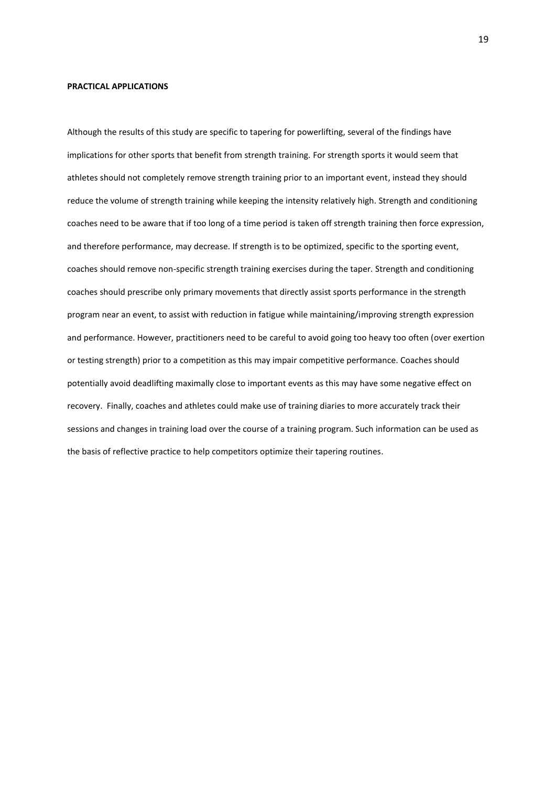## **PRACTICAL APPLICATIONS**

Although the results of this study are specific to tapering for powerlifting, several of the findings have implications for other sports that benefit from strength training. For strength sports it would seem that athletes should not completely remove strength training prior to an important event, instead they should reduce the volume of strength training while keeping the intensity relatively high. Strength and conditioning coaches need to be aware that if too long of a time period is taken off strength training then force expression, and therefore performance, may decrease. If strength is to be optimized, specific to the sporting event, coaches should remove non-specific strength training exercises during the taper. Strength and conditioning coaches should prescribe only primary movements that directly assist sports performance in the strength program near an event, to assist with reduction in fatigue while maintaining/improving strength expression and performance. However, practitioners need to be careful to avoid going too heavy too often (over exertion or testing strength) prior to a competition as this may impair competitive performance. Coaches should potentially avoid deadlifting maximally close to important events as this may have some negative effect on recovery. Finally, coaches and athletes could make use of training diaries to more accurately track their sessions and changes in training load over the course of a training program. Such information can be used as the basis of reflective practice to help competitors optimize their tapering routines.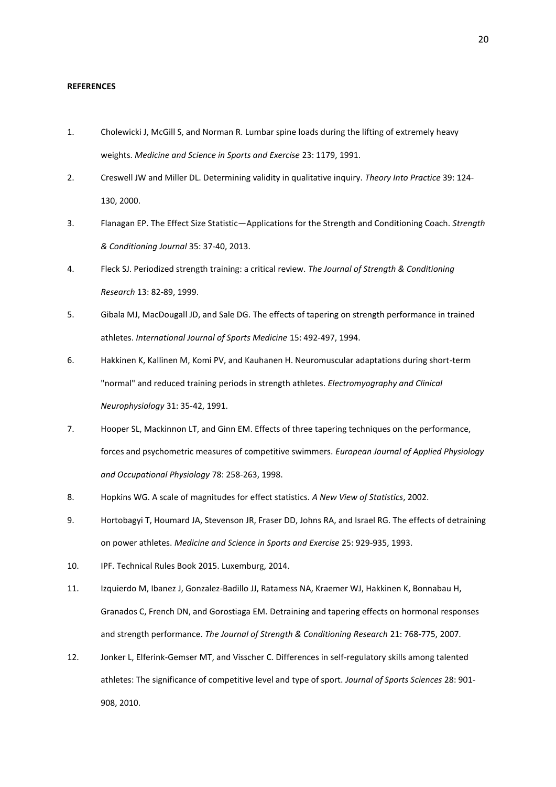## **REFERENCES**

- <span id="page-20-9"></span>1. Cholewicki J, McGill S, and Norman R. Lumbar spine loads during the lifting of extremely heavy weights. *Medicine and Science in Sports and Exercise* 23: 1179, 1991.
- <span id="page-20-7"></span>2. Creswell JW and Miller DL. Determining validity in qualitative inquiry. *Theory Into Practice* 39: 124- 130, 2000.
- <span id="page-20-5"></span>3. Flanagan EP. The Effect Size Statistic—Applications for the Strength and Conditioning Coach. *Strength & Conditioning Journal* 35: 37-40, 2013.
- <span id="page-20-10"></span>4. Fleck SJ. Periodized strength training: a critical review. *The Journal of Strength & Conditioning Research* 13: 82-89, 1999.
- <span id="page-20-2"></span>5. Gibala MJ, MacDougall JD, and Sale DG. The effects of tapering on strength performance in trained athletes. *International Journal of Sports Medicine* 15: 492-497, 1994.
- <span id="page-20-3"></span>6. Hakkinen K, Kallinen M, Komi PV, and Kauhanen H. Neuromuscular adaptations during short-term "normal" and reduced training periods in strength athletes. *Electromyography and Clinical Neurophysiology* 31: 35-42, 1991.
- <span id="page-20-1"></span>7. Hooper SL, Mackinnon LT, and Ginn EM. Effects of three tapering techniques on the performance, forces and psychometric measures of competitive swimmers. *European Journal of Applied Physiology and Occupational Physiology* 78: 258-263, 1998.
- <span id="page-20-6"></span>8. Hopkins WG. A scale of magnitudes for effect statistics. *A New View of Statistics*, 2002.
- <span id="page-20-8"></span>9. Hortobagyi T, Houmard JA, Stevenson JR, Fraser DD, Johns RA, and Israel RG. The effects of detraining on power athletes. *Medicine and Science in Sports and Exercise* 25: 929-935, 1993.
- <span id="page-20-0"></span>10. IPF. Technical Rules Book 2015. Luxemburg, 2014.
- <span id="page-20-4"></span>11. Izquierdo M, Ibanez J, Gonzalez-Badillo JJ, Ratamess NA, Kraemer WJ, Hakkinen K, Bonnabau H, Granados C, French DN, and Gorostiaga EM. Detraining and tapering effects on hormonal responses and strength performance. *The Journal of Strength & Conditioning Research* 21: 768-775, 2007.
- <span id="page-20-11"></span>12. Jonker L, Elferink-Gemser MT, and Visscher C. Differences in self-regulatory skills among talented athletes: The significance of competitive level and type of sport. *Journal of Sports Sciences* 28: 901- 908, 2010.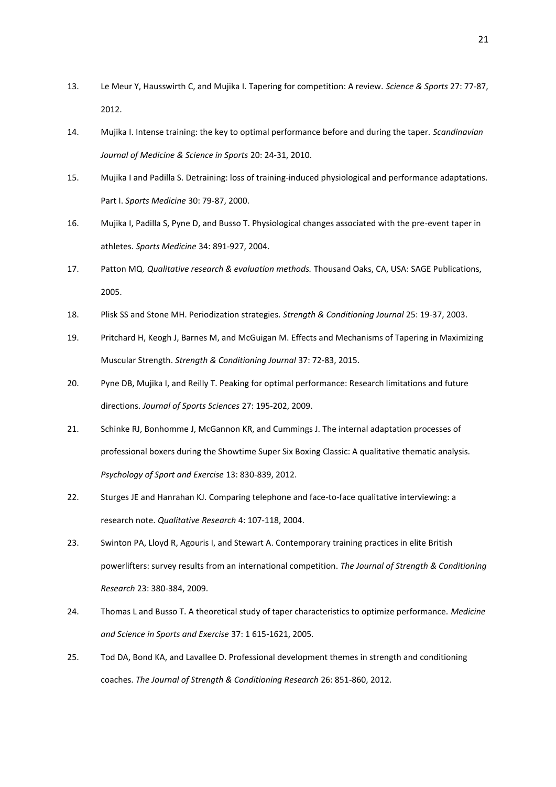- <span id="page-21-2"></span>13. Le Meur Y, Hausswirth C, and Mujika I. Tapering for competition: A review. *Science & Sports* 27: 77-87, 2012.
- <span id="page-21-10"></span>14. Mujika I. Intense training: the key to optimal performance before and during the taper. *Scandinavian Journal of Medicine & Science in Sports* 20: 24-31, 2010.
- <span id="page-21-1"></span>15. Mujika I and Padilla S. Detraining: loss of training-induced physiological and performance adaptations. Part I. *Sports Medicine* 30: 79-87, 2000.
- <span id="page-21-11"></span>16. Mujika I, Padilla S, Pyne D, and Busso T. Physiological changes associated with the pre-event taper in athletes. *Sports Medicine* 34: 891-927, 2004.
- <span id="page-21-8"></span>17. Patton MQ. *Qualitative research & evaluation methods.* Thousand Oaks, CA, USA: SAGE Publications, 2005.
- <span id="page-21-12"></span>18. Plisk SS and Stone MH. Periodization strategies. *Strength & Conditioning Journal* 25: 19-37, 2003.
- <span id="page-21-5"></span>19. Pritchard H, Keogh J, Barnes M, and McGuigan M. Effects and Mechanisms of Tapering in Maximizing Muscular Strength. *Strength & Conditioning Journal* 37: 72-83, 2015.
- <span id="page-21-3"></span>20. Pyne DB, Mujika I, and Reilly T. Peaking for optimal performance: Research limitations and future directions. *Journal of Sports Sciences* 27: 195-202, 2009.
- <span id="page-21-9"></span>21. Schinke RJ, Bonhomme J, McGannon KR, and Cummings J. The internal adaptation processes of professional boxers during the Showtime Super Six Boxing Classic: A qualitative thematic analysis. *Psychology of Sport and Exercise* 13: 830-839, 2012.
- <span id="page-21-7"></span>22. Sturges JE and Hanrahan KJ. Comparing telephone and face-to-face qualitative interviewing: a research note. *Qualitative Research* 4: 107-118, 2004.
- <span id="page-21-0"></span>23. Swinton PA, Lloyd R, Agouris I, and Stewart A. Contemporary training practices in elite British powerlifters: survey results from an international competition. *The Journal of Strength & Conditioning Research* 23: 380-384, 2009.
- <span id="page-21-4"></span>24. Thomas L and Busso T. A theoretical study of taper characteristics to optimize performance. *Medicine and Science in Sports and Exercise* 37: 1 615-1621, 2005.
- <span id="page-21-6"></span>25. Tod DA, Bond KA, and Lavallee D. Professional development themes in strength and conditioning coaches. *The Journal of Strength & Conditioning Research* 26: 851-860, 2012.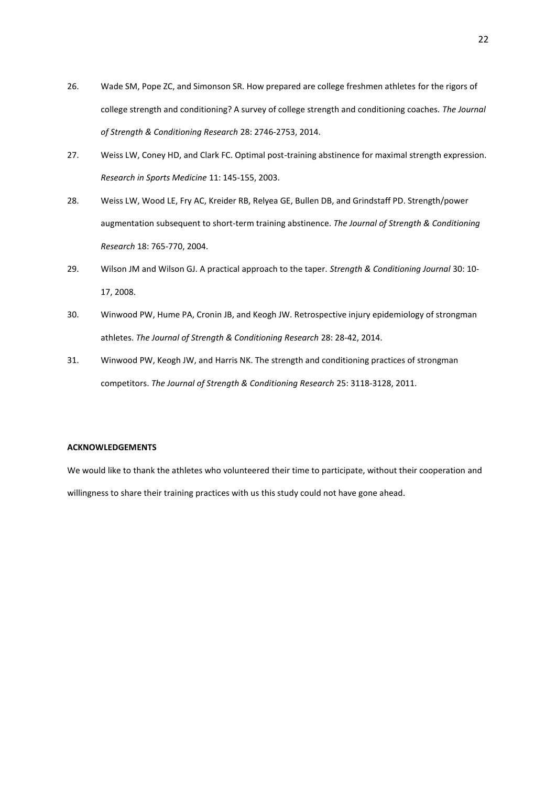- <span id="page-22-3"></span>26. Wade SM, Pope ZC, and Simonson SR. How prepared are college freshmen athletes for the rigors of college strength and conditioning? A survey of college strength and conditioning coaches. *The Journal of Strength & Conditioning Research* 28: 2746-2753, 2014.
- <span id="page-22-4"></span>27. Weiss LW, Coney HD, and Clark FC. Optimal post-training abstinence for maximal strength expression. *Research in Sports Medicine* 11: 145-155, 2003.
- <span id="page-22-5"></span>28. Weiss LW, Wood LE, Fry AC, Kreider RB, Relyea GE, Bullen DB, and Grindstaff PD. Strength/power augmentation subsequent to short-term training abstinence. *The Journal of Strength & Conditioning Research* 18: 765-770, 2004.
- <span id="page-22-0"></span>29. Wilson JM and Wilson GJ. A practical approach to the taper. *Strength & Conditioning Journal* 30: 10- 17, 2008.
- <span id="page-22-1"></span>30. Winwood PW, Hume PA, Cronin JB, and Keogh JW. Retrospective injury epidemiology of strongman athletes. *The Journal of Strength & Conditioning Research* 28: 28-42, 2014.
- <span id="page-22-2"></span>31. Winwood PW, Keogh JW, and Harris NK. The strength and conditioning practices of strongman competitors. *The Journal of Strength & Conditioning Research* 25: 3118-3128, 2011.

## **ACKNOWLEDGEMENTS**

We would like to thank the athletes who volunteered their time to participate, without their cooperation and willingness to share their training practices with us this study could not have gone ahead.